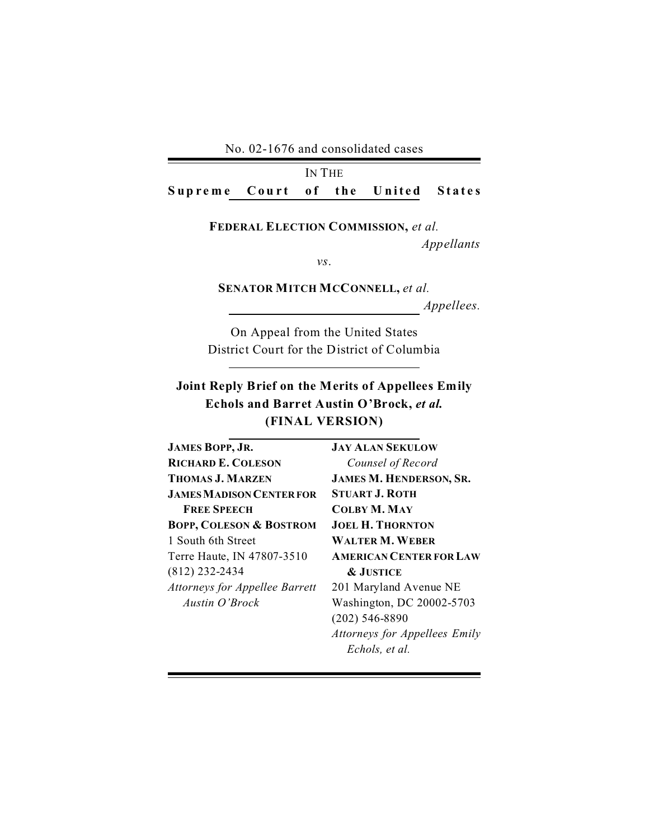No. 02-1676 and consolidated cases

IN THE Supreme Court of the United States

> **FEDERAL ELECTION COMMISSION,** *et al. Appellants*

> > *vs*.

**SENATOR MITCH MCCONNELL,** *et al. Appellees.*

On Appeal from the United States District Court for the District of Columbia

## **Joint Reply Brief on the Merits of Appellees Emily Echols and Barret Austin O'Brock,** *et al.* **(FINAL VERSION)**

| JAMES BOPP, JR.                       | <b>JAY ALAN SEKULOW</b>        |
|---------------------------------------|--------------------------------|
| <b>RICHARD E. COLESON</b>             | Counsel of Record              |
| <b>THOMAS J. MARZEN</b>               | <b>JAMES M. HENDERSON, SR.</b> |
| <b>JAMES MADISON CENTER FOR</b>       | <b>STUART J. ROTH</b>          |
| <b>FREE SPEECH</b>                    | <b>COLBY M. MAY</b>            |
| <b>BOPP, COLESON &amp; BOSTROM</b>    | <b>JOEL H. THORNTON</b>        |
| 1 South 6th Street                    | <b>WALTER M. WEBER</b>         |
| Terre Haute, IN 47807-3510            | <b>AMERICAN CENTER FOR LAW</b> |
| (812) 232-2434                        | <b>&amp; JUSTICE</b>           |
| <b>Attorneys for Appellee Barrett</b> | 201 Maryland Avenue NE         |
| Austin O'Brock                        | Washington, DC 20002-5703      |
|                                       | $(202)$ 546-8890               |
|                                       | Attorneys for Appellees Emily  |

*Echols, et al.*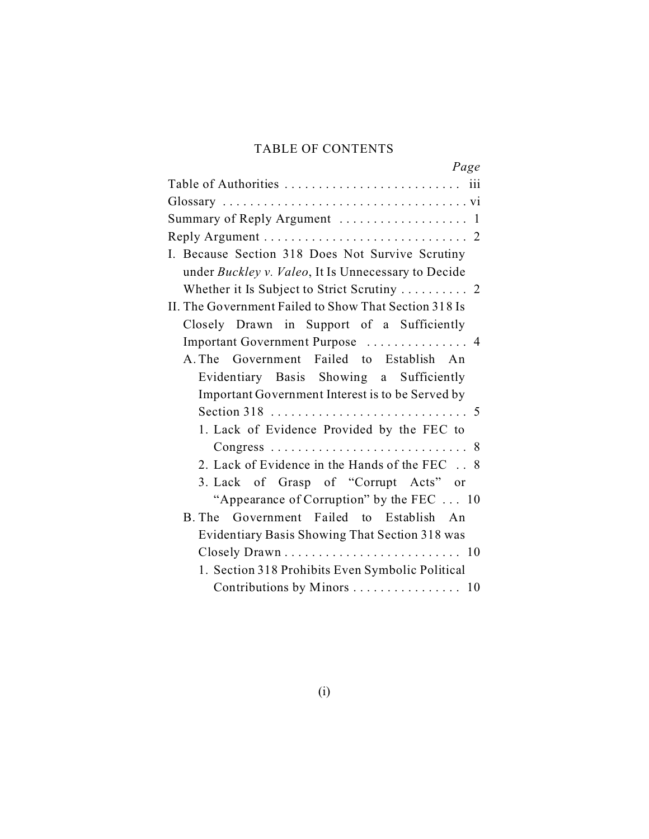## TABLE OF CONTENTS

| Page                                                  |
|-------------------------------------------------------|
|                                                       |
|                                                       |
| Summary of Reply Argument  1                          |
|                                                       |
| I. Because Section 318 Does Not Survive Scrutiny      |
| under Buckley v. Valeo, It Is Unnecessary to Decide   |
|                                                       |
| II. The Government Failed to Show That Section 318 Is |
| Closely Drawn in Support of a Sufficiently            |
| Important Government Purpose  4                       |
| A. The Government Failed to Establish An              |
|                                                       |
| Evidentiary Basis Showing a Sufficiently              |
| Important Government Interest is to be Served by      |
|                                                       |
| 1. Lack of Evidence Provided by the FEC to            |
|                                                       |
| 2. Lack of Evidence in the Hands of the FEC . 8       |
| 3. Lack of Grasp of "Corrupt Acts" or                 |
| "Appearance of Corruption" by the FEC  10             |
| B. The Government Failed to Establish An              |
| Evidentiary Basis Showing That Section 318 was        |
|                                                       |
| 1. Section 318 Prohibits Even Symbolic Political      |
| Contributions by Minors  10                           |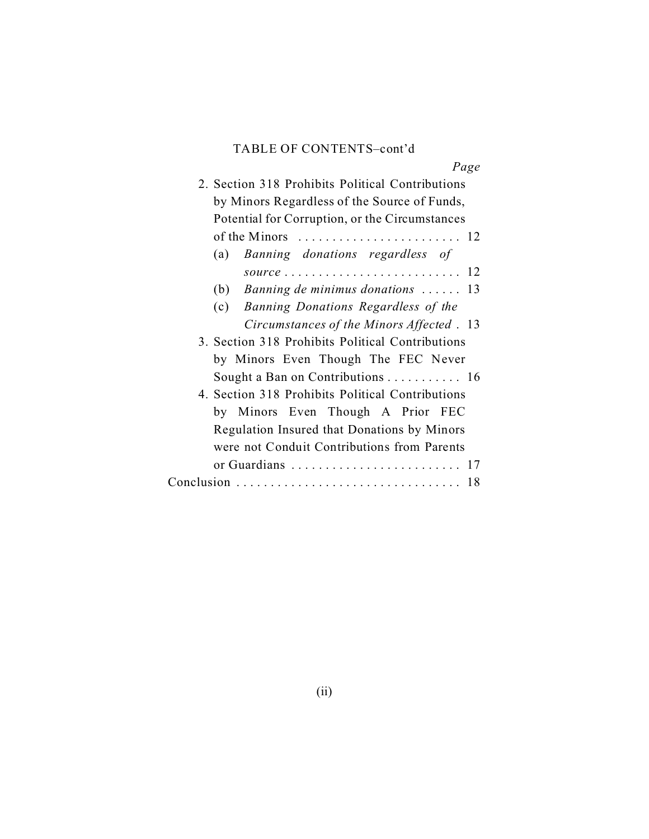### TABLE OF CONTENTS–cont'd

| $1 \, u \leqslant$                               |
|--------------------------------------------------|
| 2. Section 318 Prohibits Political Contributions |
| by Minors Regardless of the Source of Funds,     |
| Potential for Corruption, or the Circumstances   |
|                                                  |
| (a) Banning donations regardless of              |
|                                                  |
| (b) Banning de minimus donations $\ldots$ 13     |
| (c) Banning Donations Regardless of the          |
| Circumstances of the Minors Affected. 13         |
| 3. Section 318 Prohibits Political Contributions |
| by Minors Even Though The FEC Never              |
| Sought a Ban on Contributions  16                |
| 4. Section 318 Prohibits Political Contributions |
| by Minors Even Though A Prior FEC                |
| Regulation Insured that Donations by Minors      |
| were not Conduit Contributions from Parents      |
| or Guardians  17                                 |
|                                                  |
|                                                  |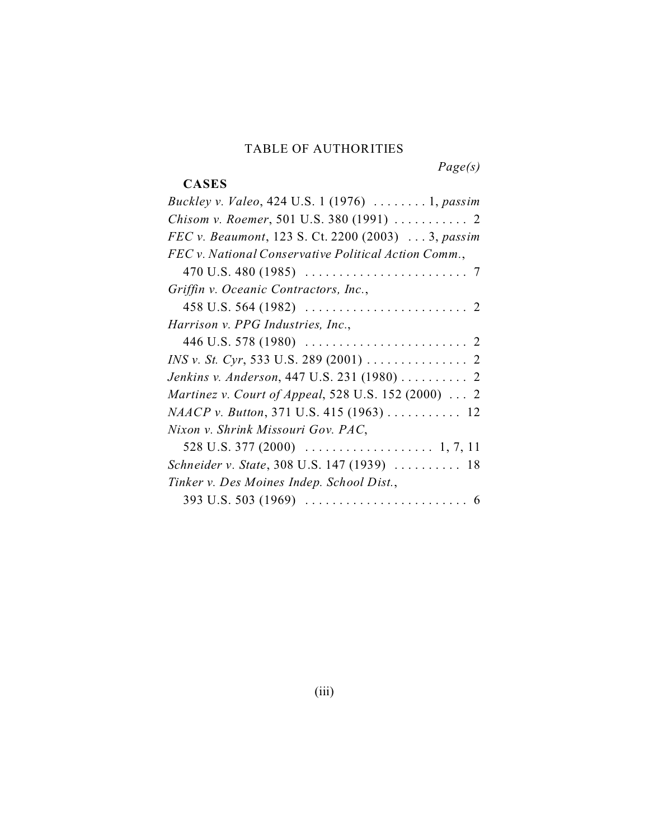#### TABLE OF AUTHORITIES

*Page(s)*

# **CASES**

| Buckley v. Valeo, 424 U.S. 1 (1976)  1, passim                                |
|-------------------------------------------------------------------------------|
| Chisom v. Roemer, 501 U.S. 380 (1991)  2                                      |
| FEC v. Beaumont, 123 S. Ct. 2200 (2003)  3, passim                            |
| FEC v. National Conservative Political Action Comm.,                          |
| 470 U.S. 480 (1985) $\ldots \ldots \ldots \ldots \ldots \ldots \ldots \ldots$ |
| Griffin v. Oceanic Contractors, Inc.,                                         |
| 458 U.S. 564 (1982) $\ldots \ldots \ldots \ldots \ldots \ldots \ldots \ldots$ |
| Harrison v. PPG Industries, Inc.,                                             |
|                                                                               |
|                                                                               |
| Jenkins v. Anderson, 447 U.S. 231 (1980)  2                                   |
| Martinez v. Court of Appeal, 528 U.S. 152 (2000)  2                           |
| NAACP v. Button, 371 U.S. 415 (1963)  12                                      |
| Nixon v. Shrink Missouri Gov. PAC,                                            |
|                                                                               |
| Schneider v. State, 308 U.S. 147 (1939)  18                                   |
| Tinker v. Des Moines Indep. School Dist.,                                     |
| 393 U.S. 503 (1969) $\ldots \ldots \ldots \ldots \ldots \ldots \ldots \ldots$ |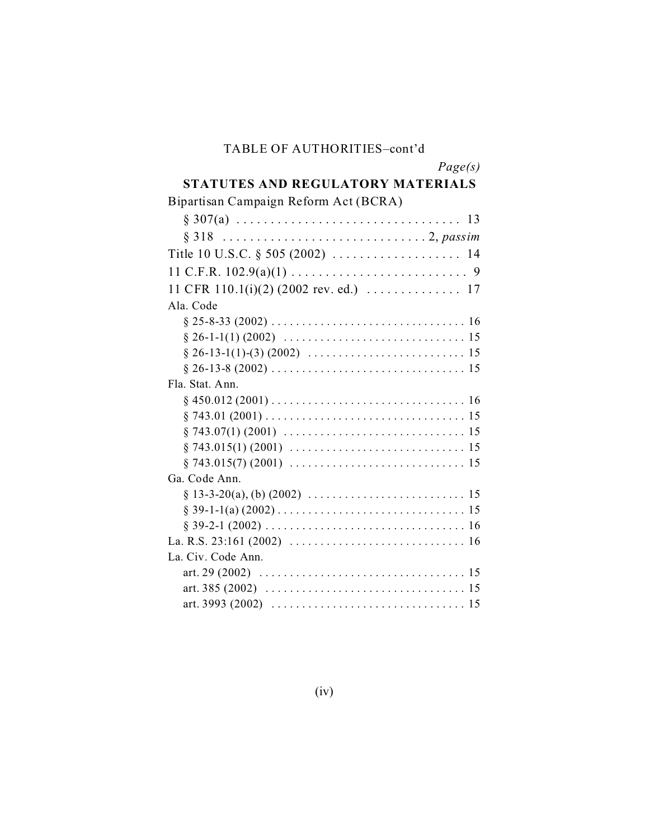#### TABLE OF AUTHORITIES–cont'd

## **STATUTES AND REGULATORY MATERIALS**

| Bipartisan Campaign Reform Act (BCRA)                                                                           |
|-----------------------------------------------------------------------------------------------------------------|
|                                                                                                                 |
|                                                                                                                 |
|                                                                                                                 |
|                                                                                                                 |
| 11 CFR 110.1(i)(2) (2002 rev. ed.) $\ldots \ldots \ldots \ldots$ 17                                             |
| Ala. Code                                                                                                       |
|                                                                                                                 |
|                                                                                                                 |
|                                                                                                                 |
|                                                                                                                 |
| Fla. Stat. Ann.                                                                                                 |
|                                                                                                                 |
|                                                                                                                 |
|                                                                                                                 |
|                                                                                                                 |
|                                                                                                                 |
| Ga. Code Ann.                                                                                                   |
|                                                                                                                 |
|                                                                                                                 |
|                                                                                                                 |
| La. R.S. 23:161 (2002) $\ldots \ldots \ldots \ldots \ldots \ldots \ldots \ldots \ldots \ldots \ldots \ldots$    |
| La. Civ. Code Ann.                                                                                              |
|                                                                                                                 |
| art. 385 (2002) $\ldots \ldots \ldots \ldots \ldots \ldots \ldots \ldots \ldots \ldots \ldots \ldots \ldots 15$ |
| art. 3993 (2002) $\ldots \ldots \ldots \ldots \ldots \ldots \ldots \ldots \ldots \ldots \ldots \ldots \ldots$   |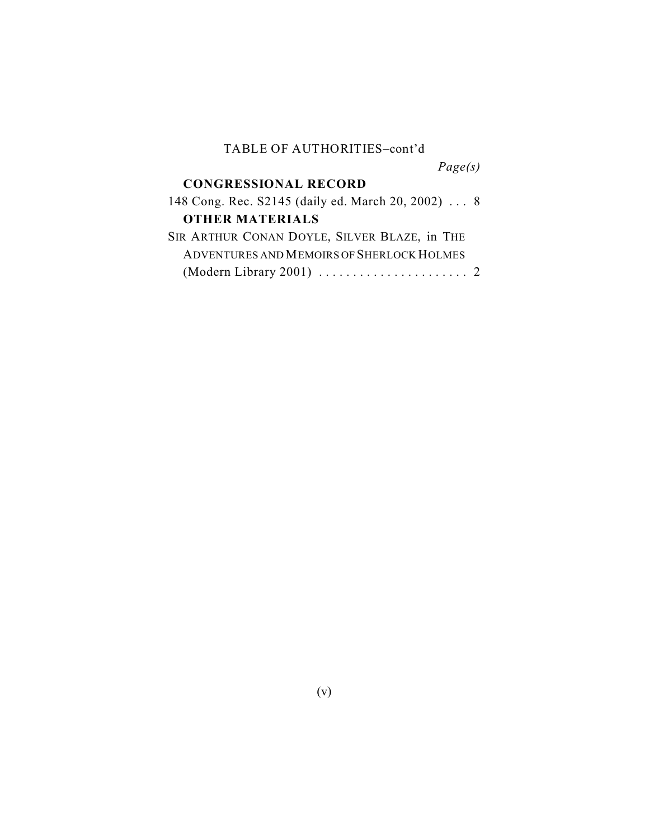#### TABLE OF AUTHORITIES–cont'd

*Page(s)*

#### **CONGRESSIONAL RECORD**

| 148 Cong. Rec. S2145 (daily ed. March 20, 2002)  8                         |
|----------------------------------------------------------------------------|
|                                                                            |
|                                                                            |
|                                                                            |
| (Modern Library 2001) $\ldots \ldots \ldots \ldots \ldots \ldots \ldots$ 2 |
|                                                                            |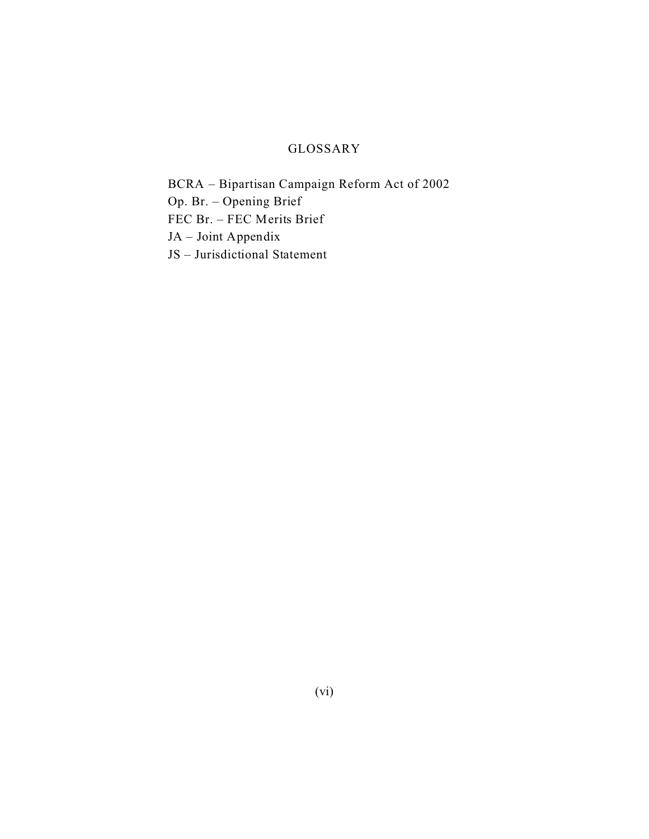### GLOSSARY

BCRA – Bipartisan Campaign Reform Act of 2002 Op. Br. – Opening Brief FEC Br. – FEC Merits Brief JA – Joint Appendix JS – Jurisdictional Statement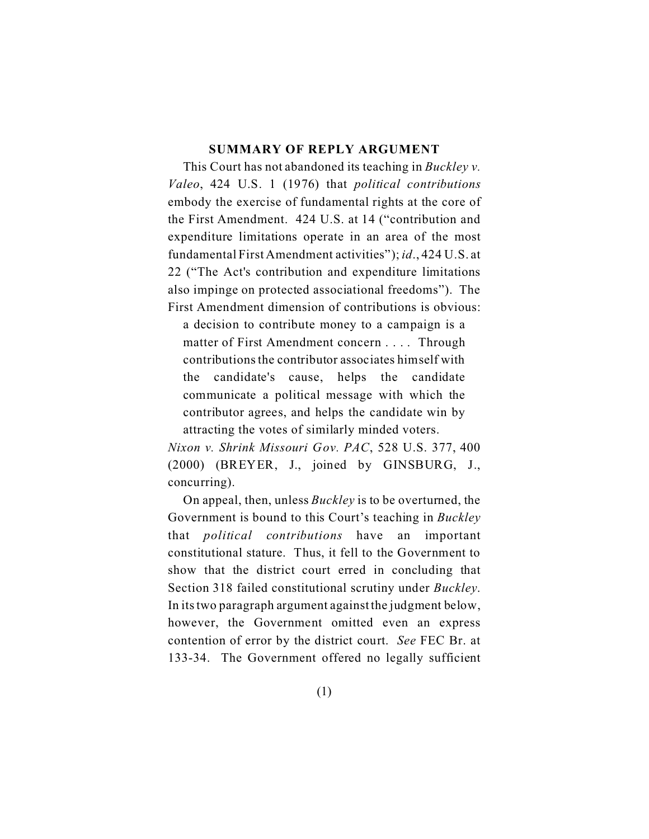#### **SUMMARY OF REPLY ARGUMENT**

This Court has not abandoned its teaching in *Buckley v. Valeo*, 424 U.S. 1 (1976) that *political contributions* embody the exercise of fundamental rights at the core of the First Amendment. 424 U.S. at 14 ("contribution and expenditure limitations operate in an area of the most fundamental First Amendment activities"); *id*., 424 U.S. at 22 ("The Act's contribution and expenditure limitations also impinge on protected associational freedoms"). The First Amendment dimension of contributions is obvious:

a decision to contribute money to a campaign is a matter of First Amendment concern . . . . Through contributions the contributor associates himself with the candidate's cause, helps the candidate communicate a political message with which the contributor agrees, and helps the candidate win by attracting the votes of similarly minded voters.

*Nixon v. Shrink Missouri Gov. PAC*, 528 U.S. 377, 400 (2000) (BREYER, J., joined by GINSBURG, J., concurring).

On appeal, then, unless *Buckley* is to be overturned, the Government is bound to this Court's teaching in *Buckley* that *political contributions* have an important constitutional stature. Thus, it fell to the Government to show that the district court erred in concluding that Section 318 failed constitutional scrutiny under *Buckley*. In its two paragraph argument against the judgment below, however, the Government omitted even an express contention of error by the district court. *See* FEC Br. at 133-34. The Government offered no legally sufficient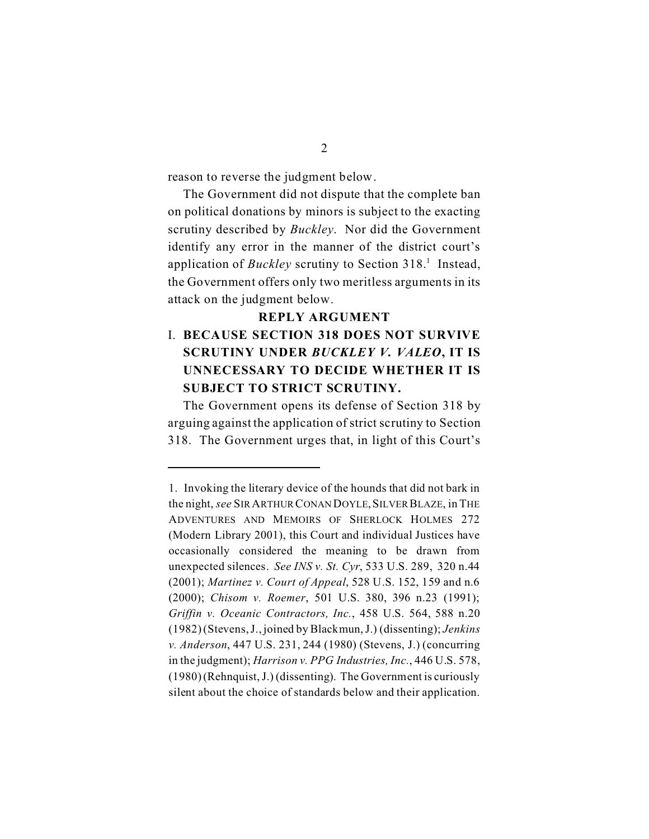reason to reverse the judgment below.

The Government did not dispute that the complete ban on political donations by minors is subject to the exacting scrutiny described by *Buckley*. Nor did the Government identify any error in the manner of the district court's application of *Buckley* scrutiny to Section 318.<sup>1</sup> Instead, the Government offers only two meritless arguments in its attack on the judgment below.

#### **REPLY ARGUMENT**

## I. **BECAUSE SECTION 318 DOES NOT SURVIVE SCRUTINY UNDER** *BUCKLEY V. VALEO***, IT IS UNNECESSARY TO DECIDE WHETHER IT IS SUBJECT TO STRICT SCRUTINY.**

The Government opens its defense of Section 318 by arguing against the application of strict scrutiny to Section 318. The Government urges that, in light of this Court's

<sup>1.</sup> Invoking the literary device of the hounds that did not bark in the night, *see* SIR ARTHUR CONAN DOYLE,SILVER BLAZE, in THE ADVENTURES AND MEMOIRS OF SHERLOCK HOLMES 272 (Modern Library 2001), this Court and individual Justices have occasionally considered the meaning to be drawn from unexpected silences. *See INS v. St. Cyr*, 533 U.S. 289, 320 n.44 (2001); *Martinez v. Court of Appeal*, 528 U.S. 152, 159 and n.6 (2000); *Chisom v. Roemer*, 501 U.S. 380, 396 n.23 (1991); *Griffin v. Oceanic Contractors, Inc.*, 458 U.S. 564, 588 n.20 (1982) (Stevens, J., joined by Blackmun, J.) (dissenting); *Jenkins v. Anderson*, 447 U.S. 231, 244 (1980) (Stevens, J.) (concurring in the judgment); *Harrison v. PPG Industries, Inc.*, 446 U.S. 578, (1980) (Rehnquist, J.) (dissenting). The Government is curiously silent about the choice of standards below and their application.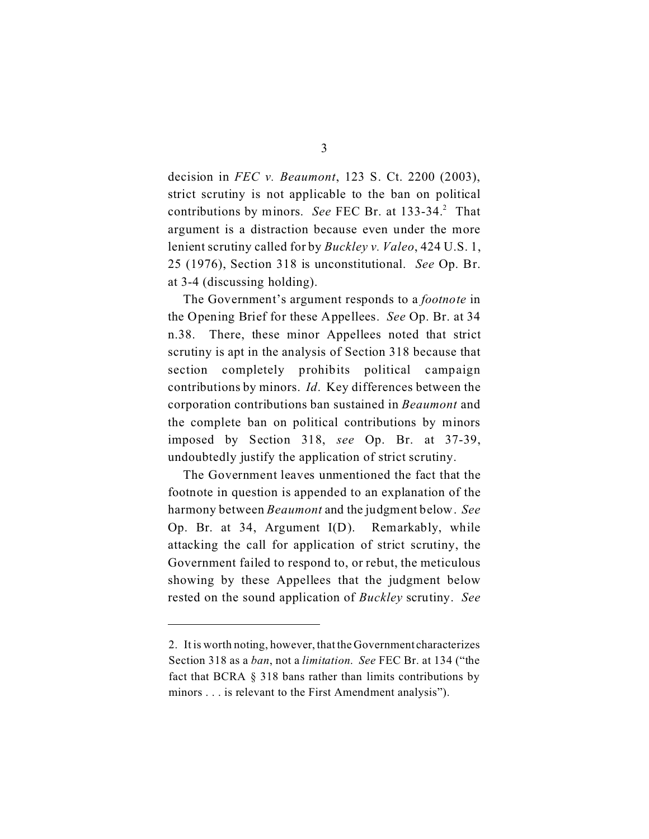decision in *FEC v. Beaumont*, 123 S. Ct. 2200 (2003), strict scrutiny is not applicable to the ban on political contributions by minors. See FEC Br. at 133-34.<sup>2</sup> That argument is a distraction because even under the more lenient scrutiny called for by *Buckley v. Valeo*, 424 U.S. 1, 25 (1976), Section 318 is unconstitutional. *See* Op. Br. at 3-4 (discussing holding).

The Government's argument responds to a *footnote* in the Opening Brief for these Appellees. *See* Op. Br. at 34 n.38. There, these minor Appellees noted that strict scrutiny is apt in the analysis of Section 318 because that section completely prohibits political campaign contributions by minors. *Id*. Key differences between the corporation contributions ban sustained in *Beaumont* and the complete ban on political contributions by minors imposed by Section 318, *see* Op. Br. at 37-39, undoubtedly justify the application of strict scrutiny.

The Government leaves unmentioned the fact that the footnote in question is appended to an explanation of the harmony between *Beaumont* and the judgment below. *See* Op. Br. at 34, Argument I(D). Remarkably, while attacking the call for application of strict scrutiny, the Government failed to respond to, or rebut, the meticulous showing by these Appellees that the judgment below rested on the sound application of *Buckley* scrutiny. *See*

<sup>2.</sup> It is worth noting, however, that the Government characterizes Section 318 as a *ban*, not a *limitation*. *See* FEC Br. at 134 ("the fact that BCRA § 318 bans rather than limits contributions by minors . . . is relevant to the First Amendment analysis").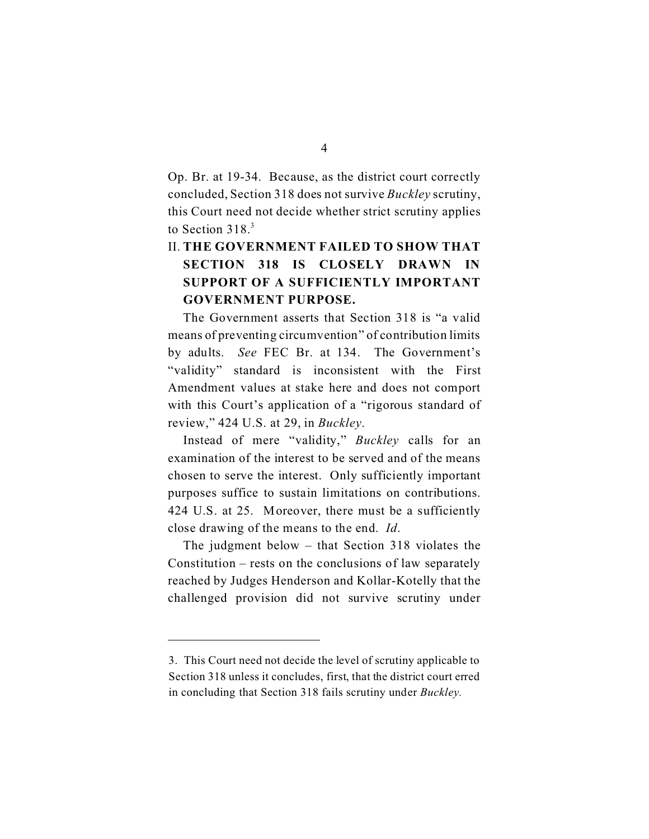Op. Br. at 19-34. Because, as the district court correctly concluded, Section 318 does not survive *Buckley* scrutiny, this Court need not decide whether strict scrutiny applies to Section 318.<sup>3</sup>

## II. **THE GOVERNMENT FAILED TO SHOW THAT SECTION 318 IS CLOSELY DRAWN IN SUPPORT OF A SUFFICIENTLY IMPORTANT GOVERNMENT PURPOSE.**

The Government asserts that Section 318 is "a valid means of preventing circumvention" of contribution limits by adults. *See* FEC Br. at 134. The Government's "validity" standard is inconsistent with the First Amendment values at stake here and does not comport with this Court's application of a "rigorous standard of review," 424 U.S. at 29, in *Buckley*.

Instead of mere "validity," *Buckley* calls for an examination of the interest to be served and of the means chosen to serve the interest. Only sufficiently important purposes suffice to sustain limitations on contributions. 424 U.S. at 25. Moreover, there must be a sufficiently close drawing of the means to the end. *Id*.

The judgment below – that Section 318 violates the Constitution – rests on the conclusions of law separately reached by Judges Henderson and Kollar-Kotelly that the challenged provision did not survive scrutiny under

<sup>3.</sup> This Court need not decide the level of scrutiny applicable to Section 318 unless it concludes, first, that the district court erred in concluding that Section 318 fails scrutiny under *Buckley.*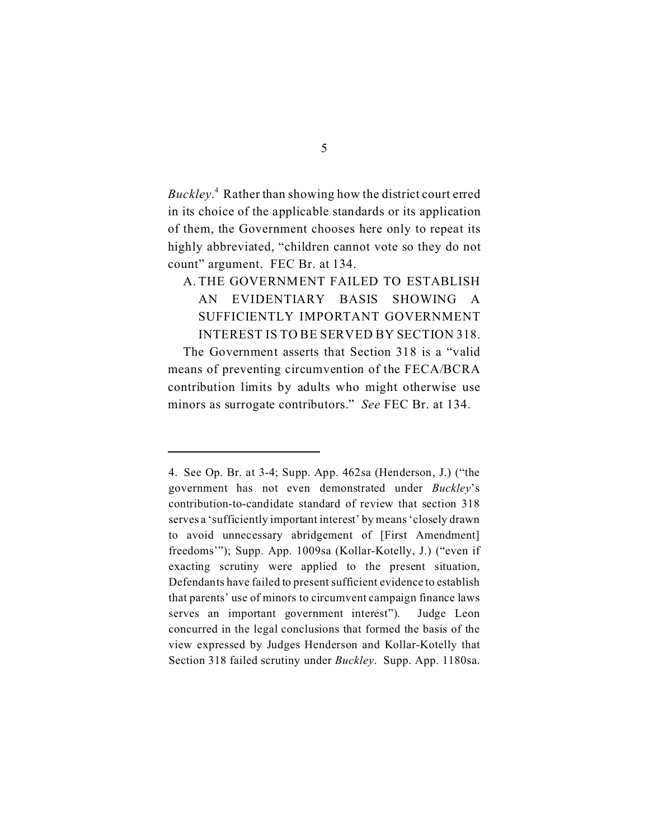*Buckley*. 4 Rather than showing how the district court erred in its choice of the applicable standards or its application of them, the Government chooses here only to repeat its highly abbreviated, "children cannot vote so they do not count" argument. FEC Br. at 134.

## A. THE GOVERNMENT FAILED TO ESTABLISH AN EVIDENTIARY BASIS SHOWING A SUFFICIENTLY IMPORTANT GOVERNMENT INTEREST IS TO BE SERVED BY SECTION 318.

The Government asserts that Section 318 is a "valid means of preventing circumvention of the FECA/BCRA contribution limits by adults who might otherwise use minors as surrogate contributors." *See* FEC Br. at 134.

<sup>4.</sup> See Op. Br. at 3-4; Supp. App. 462sa (Henderson, J.) ("the government has not even demonstrated under *Buckley*'s contribution-to-candidate standard of review that section 318 serves a 'sufficiently important interest' by means 'closely drawn to avoid unnecessary abridgement of [First Amendment] freedoms'"); Supp. App. 1009sa (Kollar-Kotelly, J.) ("even if exacting scrutiny were applied to the present situation, Defendants have failed to present sufficient evidence to establish that parents' use of minors to circumvent campaign finance laws serves an important government interest"). Judge Leon concurred in the legal conclusions that formed the basis of the view expressed by Judges Henderson and Kollar-Kotelly that Section 318 failed scrutiny under *Buckley*. Supp. App. 1180sa.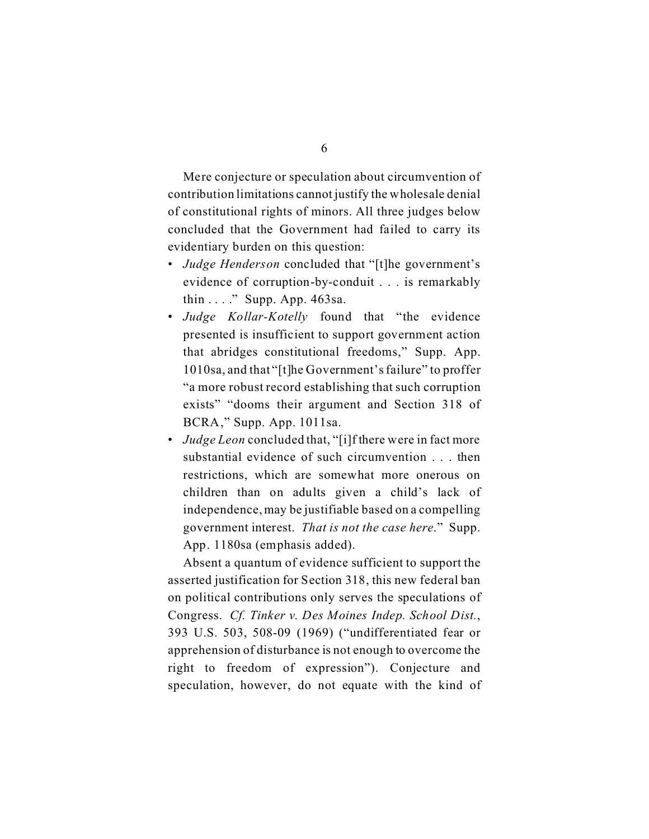Mere conjecture or speculation about circumvention of contribution limitations cannot justify the wholesale denial of constitutional rights of minors. All three judges below concluded that the Government had failed to carry its evidentiary burden on this question:

- *Judge Henderson* concluded that "[t]he government's evidence of corruption-by-conduit . . . is remarkably thin . . . ." Supp. App. 463sa.
- *Judge Kollar-Kotelly* found that "the evidence presented is insufficient to support government action that abridges constitutional freedoms," Supp. App. 1010sa, and that "[t]he Government's failure" to proffer "a more robust record establishing that such corruption exists" "dooms their argument and Section 318 of BCRA," Supp. App. 1011sa.
- *Judge Leon* concluded that, "[i]f there were in fact more substantial evidence of such circumvention . . . then restrictions, which are somewhat more onerous on children than on adults given a child's lack of independence, may be justifiable based on a compelling government interest. *That is not the case here*." Supp. App. 1180sa (emphasis added).

Absent a quantum of evidence sufficient to support the asserted justification for Section 318, this new federal ban on political contributions only serves the speculations of Congress. *Cf. Tinker v. Des Moines Indep. School Dist.*, 393 U.S. 503, 508-09 (1969) ("undifferentiated fear or apprehension of disturbance is not enough to overcome the right to freedom of expression"). Conjecture and speculation, however, do not equate with the kind of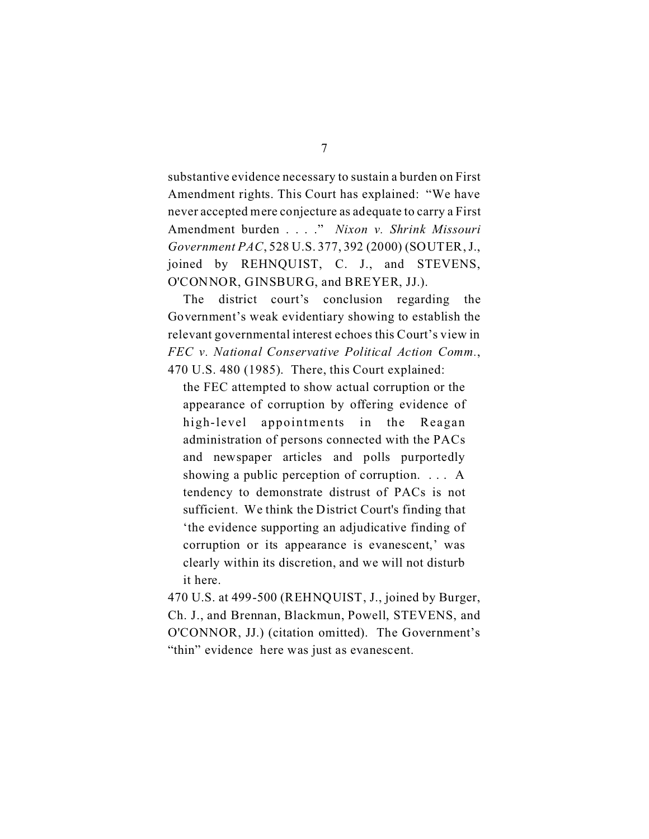substantive evidence necessary to sustain a burden on First Amendment rights. This Court has explained: "We have never accepted mere conjecture as adequate to carry a First Amendment burden . . . ." *Nixon v. Shrink Missouri Government PAC*, 528 U.S. 377, 392 (2000) (SOUTER, J., joined by REHNQUIST, C. J., and STEVENS, O'CONNOR, GINSBURG, and BREYER, JJ.).

The district court's conclusion regarding the Government's weak evidentiary showing to establish the relevant governmental interest echoes this Court's view in *FEC v. National Conservative Political Action Comm.*, 470 U.S. 480 (1985). There, this Court explained:

the FEC attempted to show actual corruption or the appearance of corruption by offering evidence of high-level appointments in the Reagan administration of persons connected with the PACs and newspaper articles and polls purportedly showing a public perception of corruption. . . . A tendency to demonstrate distrust of PACs is not sufficient. We think the District Court's finding that 'the evidence supporting an adjudicative finding of corruption or its appearance is evanescent,' was clearly within its discretion, and we will not disturb it here.

470 U.S. at 499-500 (REHNQUIST, J., joined by Burger, Ch. J., and Brennan, Blackmun, Powell, STEVENS, and O'CONNOR, JJ.) (citation omitted). The Government's "thin" evidence here was just as evanescent.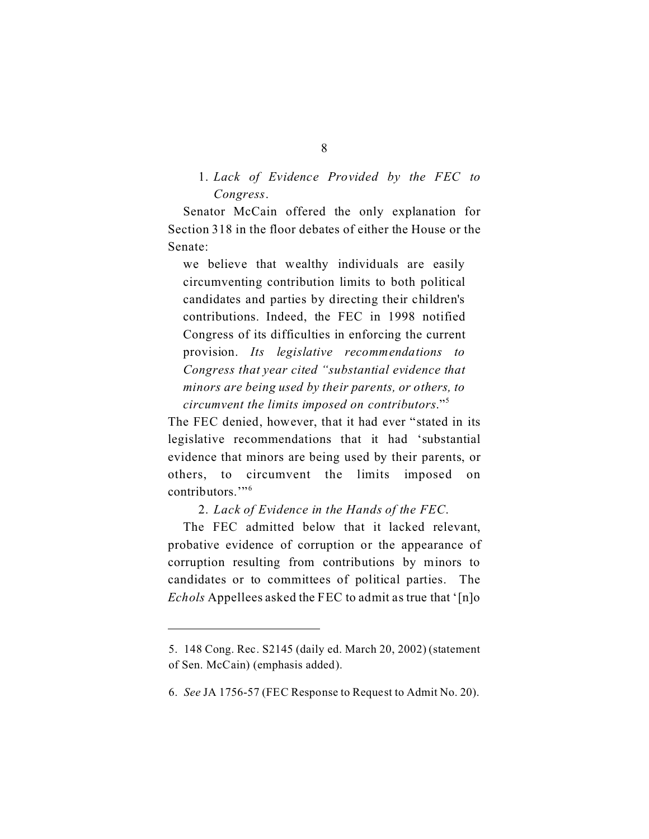#### 1. *Lack of Evidence Provided by the FEC to Congress*.

Senator McCain offered the only explanation for Section 318 in the floor debates of either the House or the Senate:

we believe that wealthy individuals are easily circumventing contribution limits to both political candidates and parties by directing their children's contributions. Indeed, the FEC in 1998 notified Congress of its difficulties in enforcing the current provision. *Its legislative recommendations to Congress that year cited "substantial evidence that minors are being used by their parents, or others, to circumvent the limits imposed on contributors*."<sup>5</sup>

The FEC denied, however, that it had ever "stated in its legislative recommendations that it had 'substantial evidence that minors are being used by their parents, or others, to circumvent the limits imposed on contributors<sup>"6</sup>

2. *Lack of Evidence in the Hands of the FEC*.

The FEC admitted below that it lacked relevant, probative evidence of corruption or the appearance of corruption resulting from contributions by minors to candidates or to committees of political parties. The *Echols* Appellees asked the FEC to admit as true that '[n]o

<sup>5.</sup> 148 Cong. Rec. S2145 (daily ed. March 20, 2002) (statement of Sen. McCain) (emphasis added).

<sup>6.</sup> *See* JA 1756-57 (FEC Response to Request to Admit No. 20).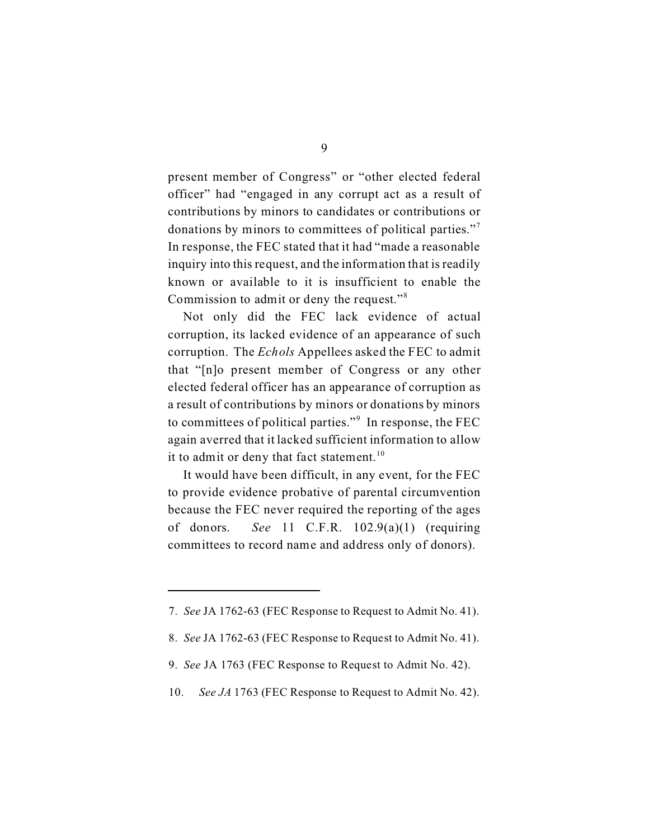present member of Congress" or "other elected federal officer" had "engaged in any corrupt act as a result of contributions by minors to candidates or contributions or donations by minors to committees of political parties."<sup>7</sup> In response, the FEC stated that it had "made a reasonable inquiry into this request, and the information that is readily known or available to it is insufficient to enable the Commission to admit or deny the request."<sup>8</sup>

Not only did the FEC lack evidence of actual corruption, its lacked evidence of an appearance of such corruption. The *Echols* Appellees asked the FEC to admit that "[n]o present member of Congress or any other elected federal officer has an appearance of corruption as a result of contributions by minors or donations by minors to committees of political parties."<sup>9</sup> In response, the FEC again averred that it lacked sufficient information to allow it to admit or deny that fact statement.<sup>10</sup>

It would have been difficult, in any event, for the FEC to provide evidence probative of parental circumvention because the FEC never required the reporting of the ages of donors. *See* 11 C.F.R. 102.9(a)(1) (requiring committees to record name and address only of donors).

<sup>7.</sup> *See* JA 1762-63 (FEC Response to Request to Admit No. 41).

<sup>8.</sup> *See* JA 1762-63 (FEC Response to Request to Admit No. 41).

<sup>9.</sup> *See* JA 1763 (FEC Response to Request to Admit No. 42).

<sup>10.</sup> *See JA* 1763 (FEC Response to Request to Admit No. 42).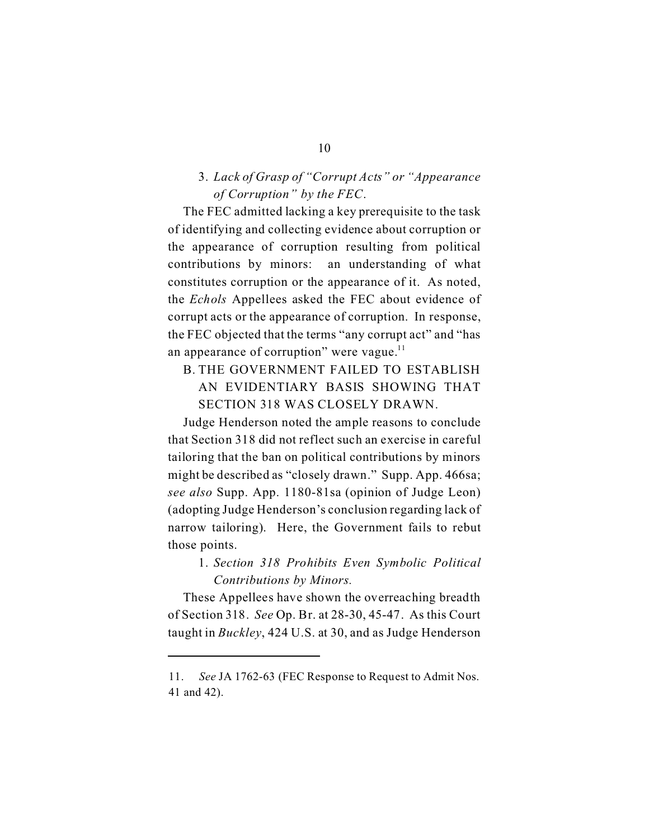#### 3. *Lack of Grasp of "Corrupt Acts" or "Appearance of Corruption" by the FEC*.

The FEC admitted lacking a key prerequisite to the task of identifying and collecting evidence about corruption or the appearance of corruption resulting from political contributions by minors: an understanding of what constitutes corruption or the appearance of it. As noted, the *Echols* Appellees asked the FEC about evidence of corrupt acts or the appearance of corruption. In response, the FEC objected that the terms "any corrupt act" and "has an appearance of corruption" were vague. $<sup>11</sup>$ </sup>

## B. THE GOVERNMENT FAILED TO ESTABLISH AN EVIDENTIARY BASIS SHOWING THAT SECTION 318 WAS CLOSELY DRAWN.

Judge Henderson noted the ample reasons to conclude that Section 318 did not reflect such an exercise in careful tailoring that the ban on political contributions by minors might be described as "closely drawn." Supp. App. 466sa; *see also* Supp. App. 1180-81sa (opinion of Judge Leon) (adopting Judge Henderson's conclusion regarding lack of narrow tailoring). Here, the Government fails to rebut those points.

### 1. *Section 318 Prohibits Even Symbolic Political Contributions by Minors.*

These Appellees have shown the overreaching breadth of Section 318. *See* Op. Br. at 28-30, 45-47. As this Court taught in *Buckley*, 424 U.S. at 30, and as Judge Henderson

#### 10

<sup>11.</sup> *See* JA 1762-63 (FEC Response to Request to Admit Nos. 41 and 42).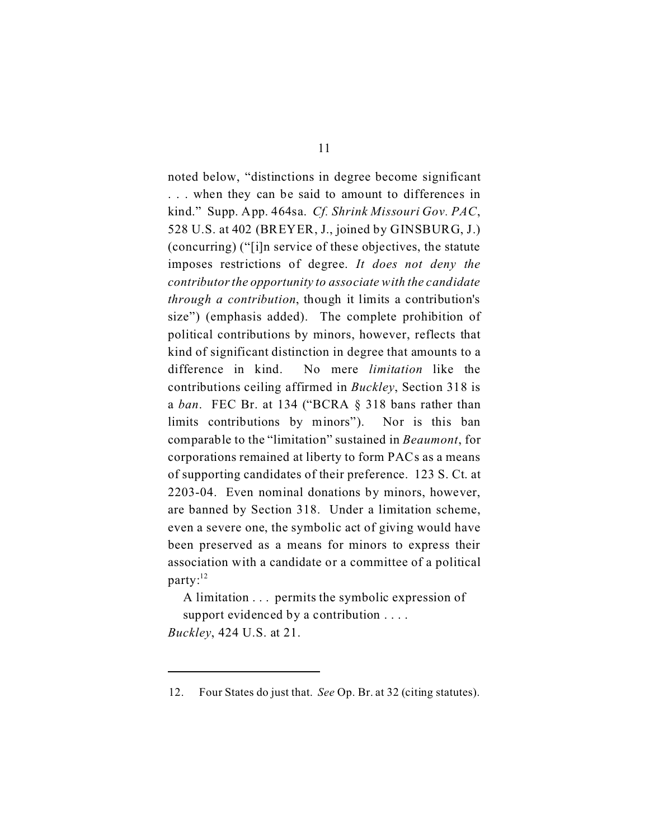noted below, "distinctions in degree become significant . . . when they can be said to amount to differences in kind." Supp. App. 464sa. *Cf. Shrink Missouri Gov. PAC*, 528 U.S. at 402 (BREYER, J., joined by GINSBURG, J.) (concurring) ("[i]n service of these objectives, the statute imposes restrictions of degree. *It does not deny the contributorthe opportunity to associate with the candidate through a contribution*, though it limits a contribution's size") (emphasis added). The complete prohibition of political contributions by minors, however, reflects that kind of significant distinction in degree that amounts to a difference in kind. No mere *limitation* like the contributions ceiling affirmed in *Buckley*, Section 318 is a *ban*. FEC Br. at 134 ("BCRA § 318 bans rather than limits contributions by minors"). Nor is this ban comparable to the "limitation" sustained in *Beaumont*, for corporations remained at liberty to form PACs as a means of supporting candidates of their preference. 123 S. Ct. at 2203-04. Even nominal donations by minors, however, are banned by Section 318. Under a limitation scheme, even a severe one, the symbolic act of giving would have been preserved as a means for minors to express their association with a candidate or a committee of a political  $party$ :<sup>12</sup>

A limitation . . . permits the symbolic expression of support evidenced by a contribution . . . .

*Buckley*, 424 U.S. at 21.

<sup>12.</sup> Four States do just that. *See* Op. Br. at 32 (citing statutes).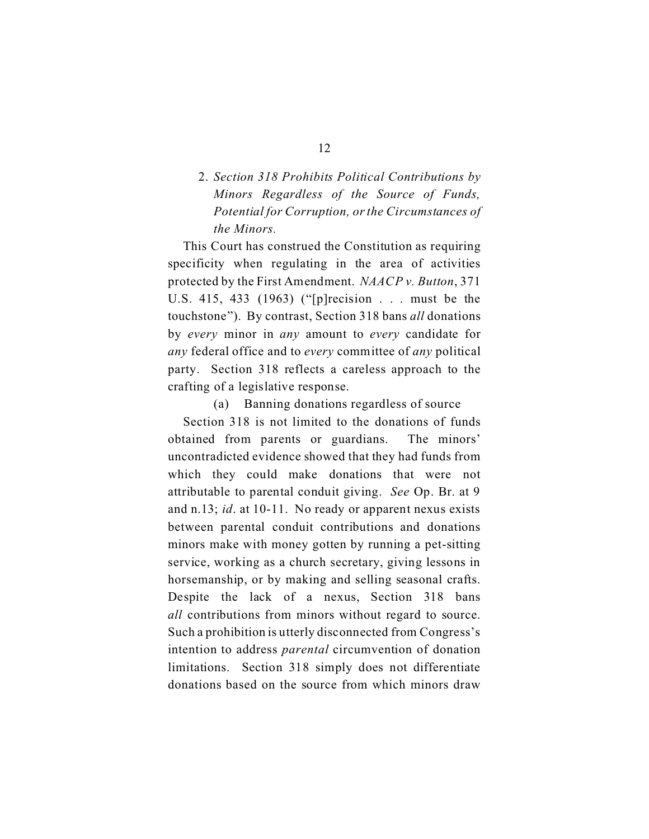## 2. *Section 318 Prohibits Political Contributions by Minors Regardless of the Source of Funds, Potential for Corruption, or the Circumstances of the Minors.*

This Court has construed the Constitution as requiring specificity when regulating in the area of activities protected by the First Amendment. *NAACP v. Button*, 371 U.S. 415, 433 (1963) ("[p]recision . . . must be the touchstone"). By contrast, Section 318 bans *all* donations by *every* minor in *any* amount to *every* candidate for *any* federal office and to *every* committee of *any* political party. Section 318 reflects a careless approach to the crafting of a legislative response.

(a) Banning donations regardless of source

Section 318 is not limited to the donations of funds obtained from parents or guardians. The minors' uncontradicted evidence showed that they had funds from which they could make donations that were not attributable to parental conduit giving. *See* Op. Br. at 9 and n.13; *id*. at 10-11. No ready or apparent nexus exists between parental conduit contributions and donations minors make with money gotten by running a pet-sitting service, working as a church secretary, giving lessons in horsemanship, or by making and selling seasonal crafts. Despite the lack of a nexus, Section 318 bans *all* contributions from minors without regard to source. Such a prohibition is utterly disconnected from Congress's intention to address *parental* circumvention of donation limitations. Section 318 simply does not differentiate donations based on the source from which minors draw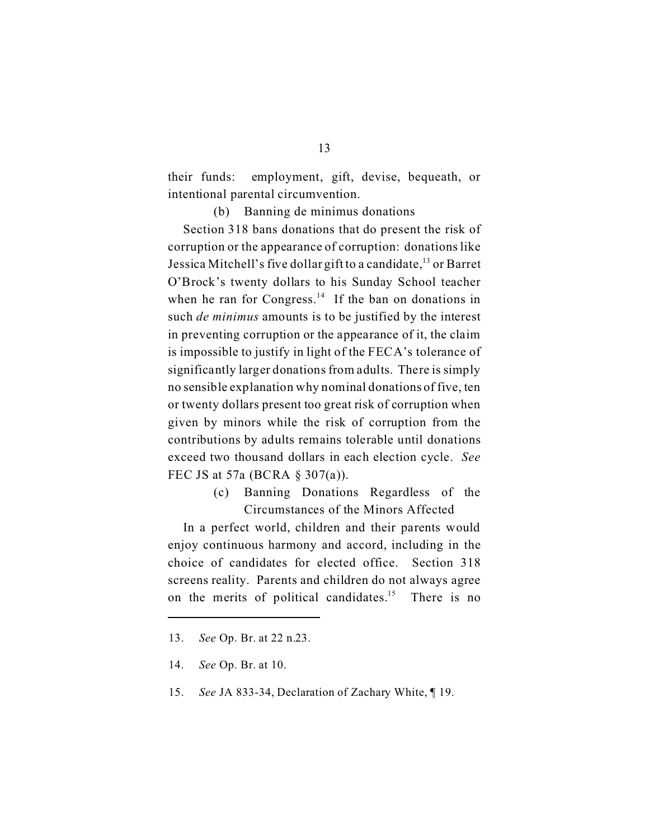their funds: employment, gift, devise, bequeath, or intentional parental circumvention.

(b) Banning de minimus donations

Section 318 bans donations that do present the risk of corruption or the appearance of corruption: donations like Jessica Mitchell's five dollar gift to a candidate,<sup>13</sup> or Barret O'Brock's twenty dollars to his Sunday School teacher when he ran for Congress.<sup>14</sup> If the ban on donations in such *de minimus* amounts is to be justified by the interest in preventing corruption or the appearance of it, the claim is impossible to justify in light of the FECA's tolerance of significantly larger donations from adults. There is simply no sensible explanation why nominal donations of five, ten or twenty dollars present too great risk of corruption when given by minors while the risk of corruption from the contributions by adults remains tolerable until donations exceed two thousand dollars in each election cycle. *See* FEC JS at 57a (BCRA § 307(a)).

> (c) Banning Donations Regardless of the Circumstances of the Minors Affected

In a perfect world, children and their parents would enjoy continuous harmony and accord, including in the choice of candidates for elected office. Section 318 screens reality. Parents and children do not always agree on the merits of political candidates.<sup>15</sup> There is no

<sup>13.</sup> *See* Op. Br. at 22 n.23.

<sup>14.</sup> *See* Op. Br. at 10.

<sup>15.</sup> *See* JA 833-34, Declaration of Zachary White, ¶ 19.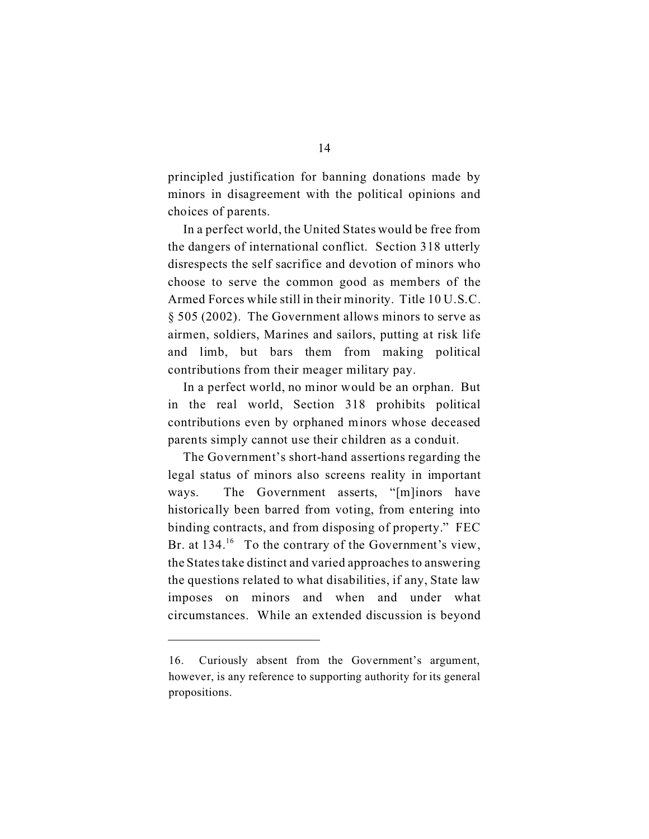principled justification for banning donations made by minors in disagreement with the political opinions and choices of parents.

In a perfect world, the United States would be free from the dangers of international conflict. Section 318 utterly disrespects the self sacrifice and devotion of minors who choose to serve the common good as members of the Armed Forces while still in their minority. Title 10 U.S.C. § 505 (2002). The Government allows minors to serve as airmen, soldiers, Marines and sailors, putting at risk life and limb, but bars them from making political contributions from their meager military pay.

In a perfect world, no minor would be an orphan. But in the real world, Section 318 prohibits political contributions even by orphaned minors whose deceased parents simply cannot use their children as a conduit.

The Government's short-hand assertions regarding the legal status of minors also screens reality in important ways. The Government asserts, "[m]inors have historically been barred from voting, from entering into binding contracts, and from disposing of property." FEC Br. at  $134<sup>16</sup>$  To the contrary of the Government's view, the States take distinct and varied approaches to answering the questions related to what disabilities, if any, State law imposes on minors and when and under what circumstances. While an extended discussion is beyond

<sup>16.</sup> Curiously absent from the Government's argument, however, is any reference to supporting authority for its general propositions.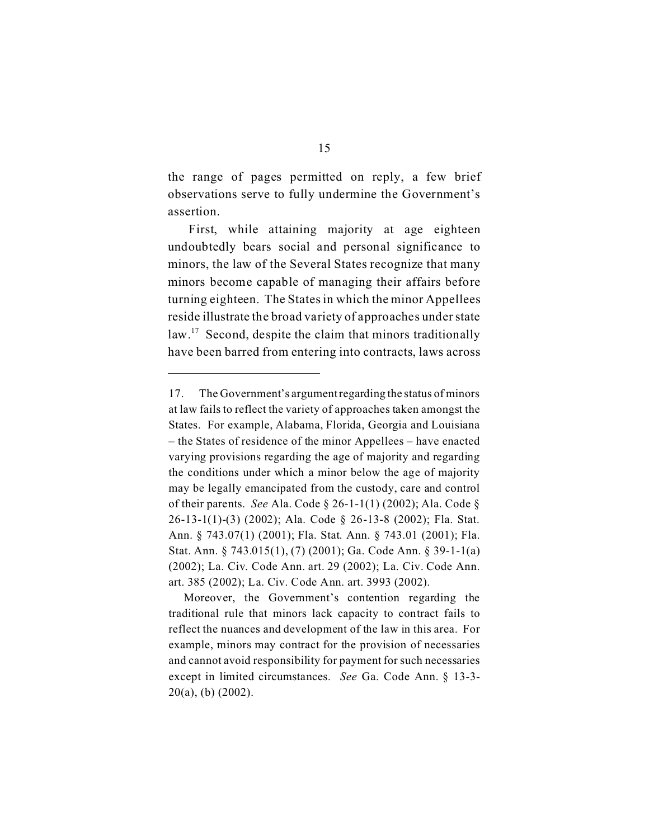the range of pages permitted on reply, a few brief observations serve to fully undermine the Government's assertion.

 First, while attaining majority at age eighteen undoubtedly bears social and personal significance to minors, the law of the Several States recognize that many minors become capable of managing their affairs before turning eighteen. The States in which the minor Appellees reside illustrate the broad variety of approaches under state law.<sup>17</sup> Second, despite the claim that minors traditionally have been barred from entering into contracts, laws across

<sup>17.</sup> The Government's argumentregarding the status of minors at law fails to reflect the variety of approaches taken amongst the States. For example, Alabama, Florida, Georgia and Louisiana – the States of residence of the minor Appellees – have enacted varying provisions regarding the age of majority and regarding the conditions under which a minor below the age of majority may be legally emancipated from the custody, care and control of their parents. *See* Ala. Code § 26-1-1(1) (2002); Ala. Code § 26-13-1(1)-(3) (2002); Ala. Code § 26-13-8 (2002); Fla. Stat. Ann. § 743.07(1) (2001); Fla. Stat. Ann. § 743.01 (2001); Fla. Stat. Ann. § 743.015(1), (7) (2001); Ga. Code Ann. § 39-1-1(a) (2002); La. Civ. Code Ann. art. 29 (2002); La. Civ. Code Ann. art. 385 (2002); La. Civ. Code Ann. art. 3993 (2002).

Moreover, the Government's contention regarding the traditional rule that minors lack capacity to contract fails to reflect the nuances and development of the law in this area. For example, minors may contract for the provision of necessaries and cannot avoid responsibility for payment for such necessaries except in limited circumstances. *See* Ga. Code Ann. § 13-3- 20(a), (b) (2002).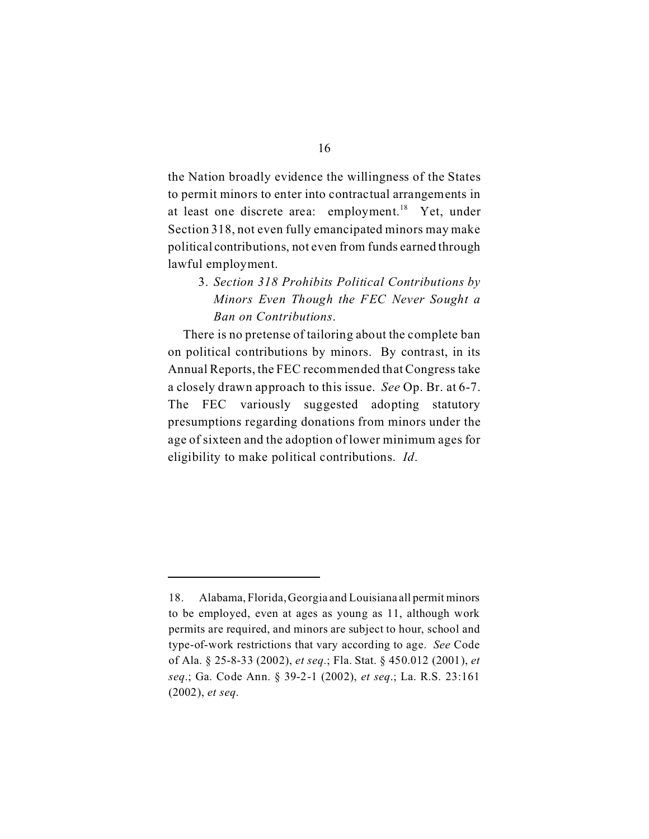the Nation broadly evidence the willingness of the States to permit minors to enter into contractual arrangements in at least one discrete area: employment.<sup>18</sup> Yet, under Section 318, not even fully emancipated minors may make political contributions, not even from funds earned through lawful employment.

3. *Section 318 Prohibits Political Contributions by Minors Even Though the FEC Never Sought a Ban on Contributions*.

There is no pretense of tailoring about the complete ban on political contributions by minors. By contrast, in its Annual Reports, the FEC recommended that Congress take a closely drawn approach to this issue. *See* Op. Br. at 6-7. The FEC variously suggested adopting statutory presumptions regarding donations from minors under the age of sixteen and the adoption of lower minimum ages for eligibility to make political contributions. *Id*.

<sup>18.</sup> Alabama, Florida, Georgia and Louisiana all permit minors to be employed, even at ages as young as 11, although work permits are required, and minors are subject to hour, school and type-of-work restrictions that vary according to age. *See* Code of Ala. § 25-8-33 (2002), *et seq*.; Fla. Stat. § 450.012 (2001), *et seq*.; Ga. Code Ann. § 39-2-1 (2002), *et seq*.; La. R.S. 23:161 (2002), *et seq*.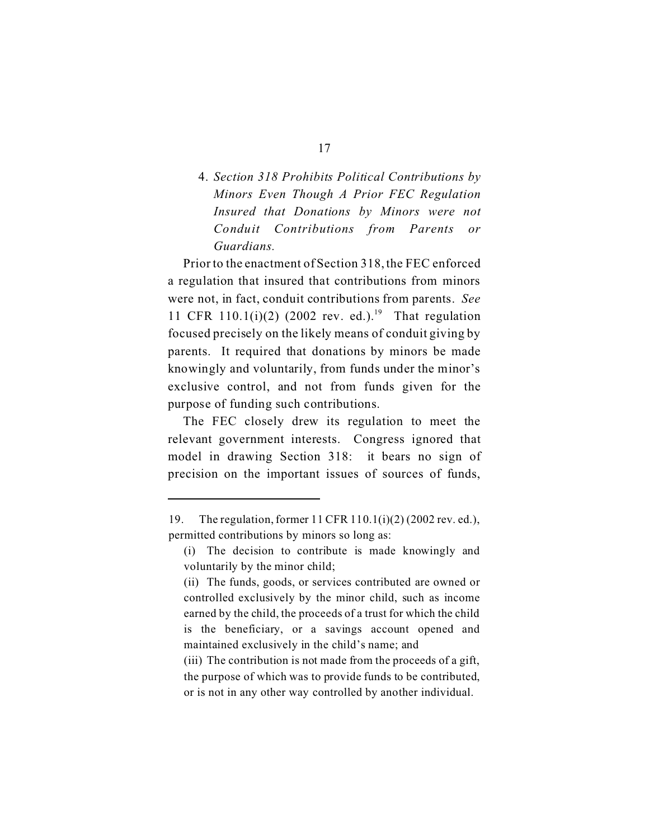## 4. *Section 318 Prohibits Political Contributions by Minors Even Though A Prior FEC Regulation Insured that Donations by Minors were not Conduit Contributions from Parents or Guardians.*

Prior to the enactment of Section 318, the FEC enforced a regulation that insured that contributions from minors were not, in fact, conduit contributions from parents. *See* 11 CFR 110.1(i)(2) (2002 rev. ed.).<sup>19</sup> That regulation focused precisely on the likely means of conduit giving by parents. It required that donations by minors be made knowingly and voluntarily, from funds under the minor's exclusive control, and not from funds given for the purpose of funding such contributions.

The FEC closely drew its regulation to meet the relevant government interests. Congress ignored that model in drawing Section 318: it bears no sign of precision on the important issues of sources of funds,

<sup>19.</sup> The regulation, former 11 CFR 110.1(i)(2) (2002 rev. ed.), permitted contributions by minors so long as:

<sup>(</sup>i) The decision to contribute is made knowingly and voluntarily by the minor child;

<sup>(</sup>ii) The funds, goods, or services contributed are owned or controlled exclusively by the minor child, such as income earned by the child, the proceeds of a trust for which the child is the beneficiary, or a savings account opened and maintained exclusively in the child's name; and

<sup>(</sup>iii) The contribution is not made from the proceeds of a gift, the purpose of which was to provide funds to be contributed, or is not in any other way controlled by another individual.